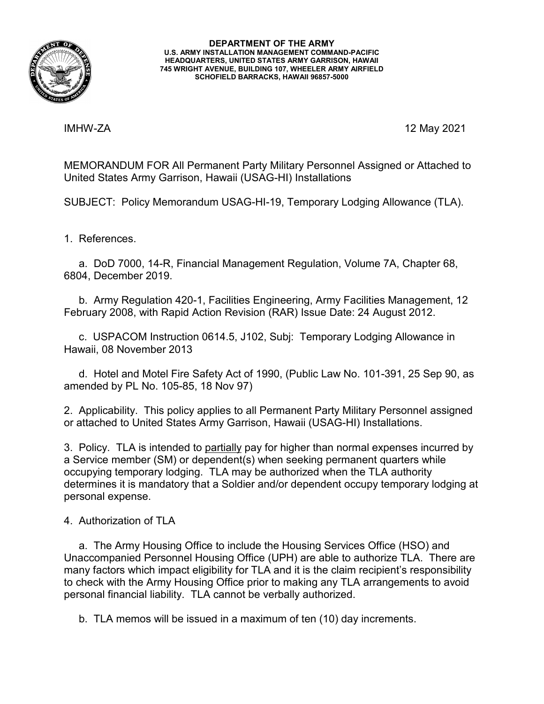

**DEPARTMENT OF THE ARMY U.S. ARMY INSTALLATION MANAGEMENT COMMAND-PACIFIC HEADQUARTERS, UNITED STATES ARMY GARRISON, HAWAII 745 WRIGHT AVENUE, BUILDING 107, WHEELER ARMY AIRFIELD SCHOFIELD BARRACKS, HAWAII 96857-5000**

IMHW-ZA 12 May 2021

MEMORANDUM FOR All Permanent Party Military Personnel Assigned or Attached to United States Army Garrison, Hawaii (USAG-HI) Installations

SUBJECT: Policy Memorandum USAG-HI-19, Temporary Lodging Allowance (TLA).

1. References.

 a. DoD 7000, 14-R, Financial Management Regulation, Volume 7A, Chapter 68, 6804, December 2019.

 b. Army Regulation 420-1, Facilities Engineering, Army Facilities Management, 12 February 2008, with Rapid Action Revision (RAR) Issue Date: 24 August 2012.

 c. USPACOM Instruction 0614.5, J102, Subj: Temporary Lodging Allowance in Hawaii, 08 November 2013

 d. Hotel and Motel Fire Safety Act of 1990, (Public Law No. 101-391, 25 Sep 90, as amended by PL No. 105-85, 18 Nov 97)

2. Applicability. This policy applies to all Permanent Party Military Personnel assigned or attached to United States Army Garrison, Hawaii (USAG-HI) Installations.

3. Policy. TLA is intended to partially pay for higher than normal expenses incurred by a Service member (SM) or dependent(s) when seeking permanent quarters while occupying temporary lodging. TLA may be authorized when the TLA authority determines it is mandatory that a Soldier and/or dependent occupy temporary lodging at personal expense.

4. Authorization of TLA

 a. The Army Housing Office to include the Housing Services Office (HSO) and Unaccompanied Personnel Housing Office (UPH) are able to authorize TLA. There are many factors which impact eligibility for TLA and it is the claim recipient's responsibility to check with the Army Housing Office prior to making any TLA arrangements to avoid personal financial liability. TLA cannot be verbally authorized.

b. TLA memos will be issued in a maximum of ten (10) day increments.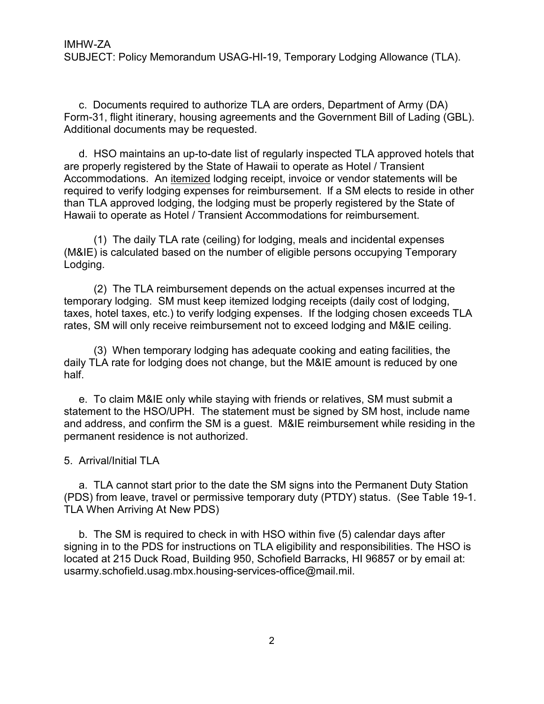c. Documents required to authorize TLA are orders, Department of Army (DA) Form-31, flight itinerary, housing agreements and the Government Bill of Lading (GBL). Additional documents may be requested.

 d. HSO maintains an up-to-date list of regularly inspected TLA approved hotels that are properly registered by the State of Hawaii to operate as Hotel / Transient Accommodations. An itemized lodging receipt, invoice or vendor statements will be required to verify lodging expenses for reimbursement. If a SM elects to reside in other than TLA approved lodging, the lodging must be properly registered by the State of Hawaii to operate as Hotel / Transient Accommodations for reimbursement.

 (1) The daily TLA rate (ceiling) for lodging, meals and incidental expenses (M&IE) is calculated based on the number of eligible persons occupying Temporary Lodging.

 (2) The TLA reimbursement depends on the actual expenses incurred at the temporary lodging. SM must keep itemized lodging receipts (daily cost of lodging, taxes, hotel taxes, etc.) to verify lodging expenses. If the lodging chosen exceeds TLA rates, SM will only receive reimbursement not to exceed lodging and M&IE ceiling.

 (3) When temporary lodging has adequate cooking and eating facilities, the daily TLA rate for lodging does not change, but the M&IE amount is reduced by one half.

 e. To claim M&IE only while staying with friends or relatives, SM must submit a statement to the HSO/UPH. The statement must be signed by SM host, include name and address, and confirm the SM is a guest. M&IE reimbursement while residing in the permanent residence is not authorized.

5. Arrival/Initial TLA

 a. TLA cannot start prior to the date the SM signs into the Permanent Duty Station (PDS) from leave, travel or permissive temporary duty (PTDY) status. (See Table 19-1. TLA When Arriving At New PDS)

 b. The SM is required to check in with HSO within five (5) calendar days after signing in to the PDS for instructions on TLA eligibility and responsibilities. The HSO is located at 215 Duck Road, Building 950, Schofield Barracks, HI 96857 or by email at: [usarmy.schofield.usag.mbx.housing-services-office@mail.mil.](mailto:usarmy.schofield.usag.mbx.housing-services-office@mail.mil)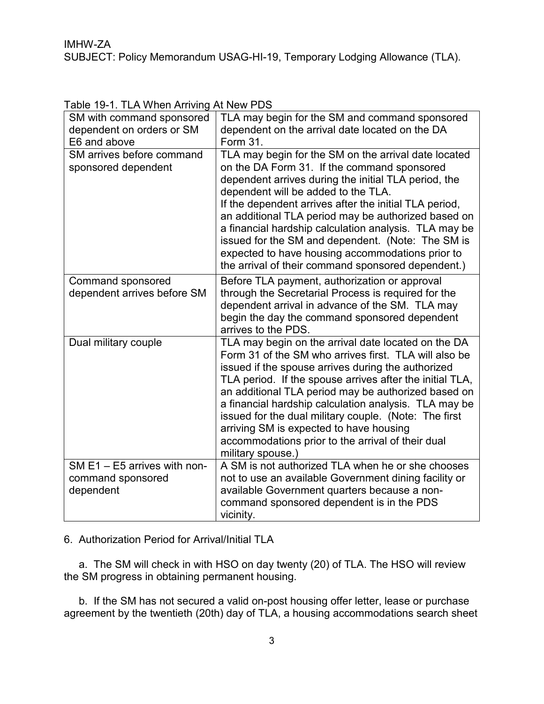| SM with command sponsored<br>dependent on orders or SM<br>E6 and above | TLA may begin for the SM and command sponsored<br>dependent on the arrival date located on the DA<br>Form 31.                                                                                                                                                                                                                                                                                                                                                                                                                               |
|------------------------------------------------------------------------|---------------------------------------------------------------------------------------------------------------------------------------------------------------------------------------------------------------------------------------------------------------------------------------------------------------------------------------------------------------------------------------------------------------------------------------------------------------------------------------------------------------------------------------------|
| SM arrives before command<br>sponsored dependent                       | TLA may begin for the SM on the arrival date located<br>on the DA Form 31. If the command sponsored<br>dependent arrives during the initial TLA period, the<br>dependent will be added to the TLA.<br>If the dependent arrives after the initial TLA period,<br>an additional TLA period may be authorized based on<br>a financial hardship calculation analysis. TLA may be<br>issued for the SM and dependent. (Note: The SM is<br>expected to have housing accommodations prior to<br>the arrival of their command sponsored dependent.) |
| <b>Command sponsored</b><br>dependent arrives before SM                | Before TLA payment, authorization or approval<br>through the Secretarial Process is required for the<br>dependent arrival in advance of the SM. TLA may<br>begin the day the command sponsored dependent<br>arrives to the PDS.                                                                                                                                                                                                                                                                                                             |
| Dual military couple                                                   | TLA may begin on the arrival date located on the DA<br>Form 31 of the SM who arrives first. TLA will also be<br>issued if the spouse arrives during the authorized<br>TLA period. If the spouse arrives after the initial TLA,<br>an additional TLA period may be authorized based on<br>a financial hardship calculation analysis. TLA may be<br>issued for the dual military couple. (Note: The first<br>arriving SM is expected to have housing<br>accommodations prior to the arrival of their dual<br>military spouse.)                |
| SM E1 - E5 arrives with non-<br>command sponsored<br>dependent         | A SM is not authorized TLA when he or she chooses<br>not to use an available Government dining facility or<br>available Government quarters because a non-<br>command sponsored dependent is in the PDS<br>vicinity.                                                                                                                                                                                                                                                                                                                        |

Table 19-1. TLA When Arriving At New PDS

6. Authorization Period for Arrival/Initial TLA

 a. The SM will check in with HSO on day twenty (20) of TLA. The HSO will review the SM progress in obtaining permanent housing.

 b. If the SM has not secured a valid on-post housing offer letter, lease or purchase agreement by the twentieth (20th) day of TLA, a housing accommodations search sheet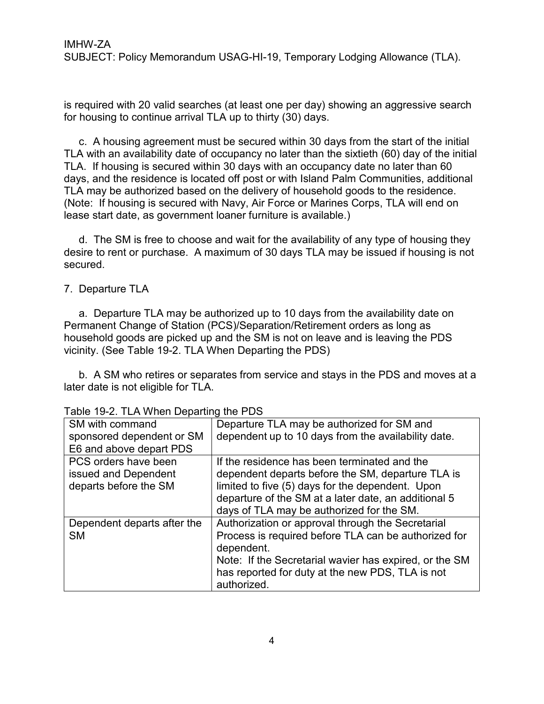is required with 20 valid searches (at least one per day) showing an aggressive search for housing to continue arrival TLA up to thirty (30) days.

 c. A housing agreement must be secured within 30 days from the start of the initial TLA with an availability date of occupancy no later than the sixtieth (60) day of the initial TLA. If housing is secured within 30 days with an occupancy date no later than 60 days, and the residence is located off post or with Island Palm Communities, additional TLA may be authorized based on the delivery of household goods to the residence. (Note: If housing is secured with Navy, Air Force or Marines Corps, TLA will end on lease start date, as government loaner furniture is available.)

 d. The SM is free to choose and wait for the availability of any type of housing they desire to rent or purchase. A maximum of 30 days TLA may be issued if housing is not secured.

## 7. Departure TLA

 a. Departure TLA may be authorized up to 10 days from the availability date on Permanent Change of Station (PCS)/Separation/Retirement orders as long as household goods are picked up and the SM is not on leave and is leaving the PDS vicinity. (See Table 19-2. TLA When Departing the PDS)

 b. A SM who retires or separates from service and stays in the PDS and moves at a later date is not eligible for TLA.

| apio 10 L. 1 L. 1 T. 1 T. 1 D J parting tho 1 D J |                                                        |
|---------------------------------------------------|--------------------------------------------------------|
| SM with command                                   | Departure TLA may be authorized for SM and             |
| sponsored dependent or SM                         | dependent up to 10 days from the availability date.    |
| E6 and above depart PDS                           |                                                        |
| PCS orders have been                              | If the residence has been terminated and the           |
| issued and Dependent                              | dependent departs before the SM, departure TLA is      |
| departs before the SM                             | limited to five (5) days for the dependent. Upon       |
|                                                   | departure of the SM at a later date, an additional 5   |
|                                                   | days of TLA may be authorized for the SM.              |
| Dependent departs after the                       | Authorization or approval through the Secretarial      |
| <b>SM</b>                                         | Process is required before TLA can be authorized for   |
|                                                   | dependent.                                             |
|                                                   | Note: If the Secretarial wavier has expired, or the SM |
|                                                   | has reported for duty at the new PDS, TLA is not       |
|                                                   | authorized.                                            |

|  | Table 19-2. TLA When Departing the PDS |  |  |
|--|----------------------------------------|--|--|
|--|----------------------------------------|--|--|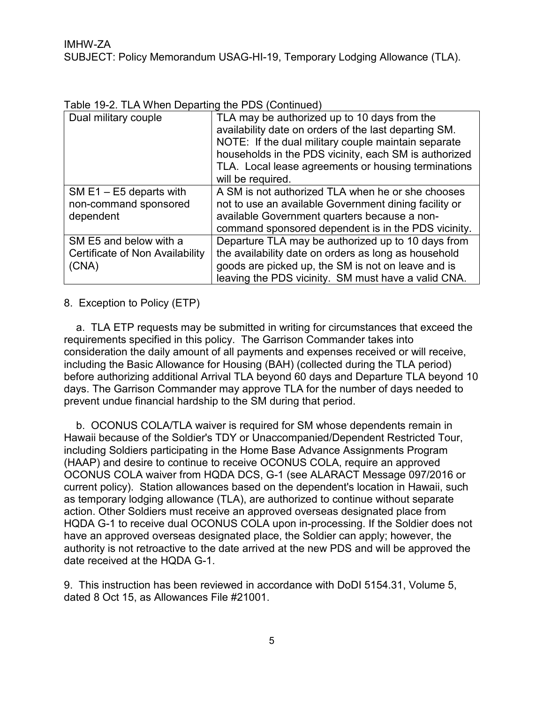Table 19-2. TLA When Departing the PDS (Continued)

| Dual military couple            | TLA may be authorized up to 10 days from the<br>availability date on orders of the last departing SM.<br>NOTE: If the dual military couple maintain separate<br>households in the PDS vicinity, each SM is authorized<br>TLA. Local lease agreements or housing terminations<br>will be required. |
|---------------------------------|---------------------------------------------------------------------------------------------------------------------------------------------------------------------------------------------------------------------------------------------------------------------------------------------------|
| SM $E1 - E5$ departs with       | A SM is not authorized TLA when he or she chooses                                                                                                                                                                                                                                                 |
| non-command sponsored           | not to use an available Government dining facility or                                                                                                                                                                                                                                             |
| dependent                       | available Government quarters because a non-                                                                                                                                                                                                                                                      |
|                                 | command sponsored dependent is in the PDS vicinity.                                                                                                                                                                                                                                               |
| SM E5 and below with a          | Departure TLA may be authorized up to 10 days from                                                                                                                                                                                                                                                |
| Certificate of Non Availability | the availability date on orders as long as household                                                                                                                                                                                                                                              |
| (CNA)                           | goods are picked up, the SM is not on leave and is                                                                                                                                                                                                                                                |
|                                 | leaving the PDS vicinity. SM must have a valid CNA.                                                                                                                                                                                                                                               |

## 8. Exception to Policy (ETP)

a. TLA ETP requests may be submitted in writing for circumstances that exceed the requirements specified in this policy. The Garrison Commander takes into consideration the daily amount of all payments and expenses received or will receive, including the Basic Allowance for Housing (BAH) (collected during the TLA period) before authorizing additional Arrival TLA beyond 60 days and Departure TLA beyond 10 days. The Garrison Commander may approve TLA for the number of days needed to prevent undue financial hardship to the SM during that period.

b. OCONUS COLA/TLA waiver is required for SM whose dependents remain in Hawaii because of the Soldier's TDY or Unaccompanied/Dependent Restricted Tour, including Soldiers participating in the Home Base Advance Assignments Program (HAAP) and desire to continue to receive OCONUS COLA, require an approved OCONUS COLA waiver from HQDA DCS, G-1 (see ALARACT Message 097/2016 or current policy). Station allowances based on the dependent's location in Hawaii, such as temporary lodging allowance (TLA), are authorized to continue without separate action. Other Soldiers must receive an approved overseas designated place from HQDA G-1 to receive dual OCONUS COLA upon in-processing. If the Soldier does not have an approved overseas designated place, the Soldier can apply; however, the authority is not retroactive to the date arrived at the new PDS and will be approved the date received at the HQDA G-1.

9. This instruction has been reviewed in accordance with DoDI 5154.31, Volume 5, dated 8 Oct 15, as Allowances File #21001.